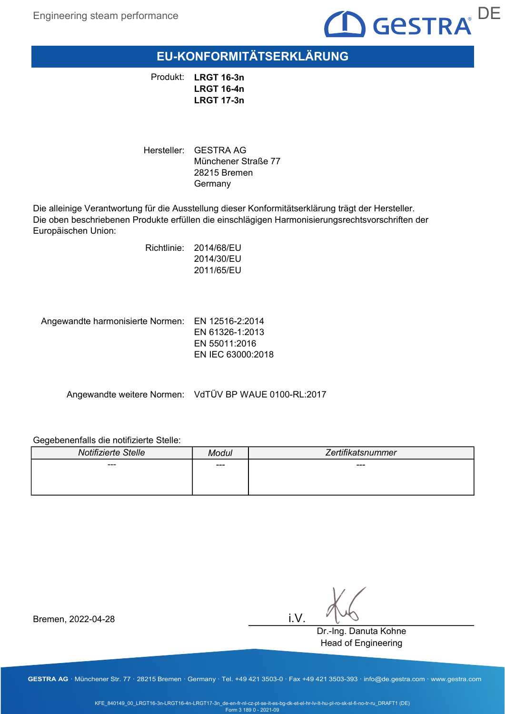

EU-KONFORMITÄTSERKLÄRUNG

Produkt: LRGT 16-3n LRGT 16-4n LRGT 17-3n

Hersteller: GESTRA AG Münchener Straße 77 28215 Bremen Germany

Die alleinige Verantwortung für die Ausstellung dieser Konformitätserklärung trägt der Hersteller. Die oben beschriebenen Produkte erfüllen die einschlägigen Harmonisierungsrechtsvorschriften der Europäischen Union:

> Richtlinie: 2014/68/EU 2014/30/EU 2011/65/EU

Angewandte harmonisierte Normen: EN 12516-2:2014 EN 61326-1:2013 EN 55011:2016 EN IEC 63000:2018

Angewandte weitere Normen: VdTÜV BP WAUE 0100-RL:2017

### Gegebenenfalls die notifizierte Stelle:

| Notifizierte Stelle | Modul | Zertifikatsnummer |
|---------------------|-------|-------------------|
| ---                 | ---   | $---$             |
|                     |       |                   |
|                     |       |                   |

Bremen, 2022-04-28

i.V.

Dr.-Ing. Danuta Kohne Head of Engineering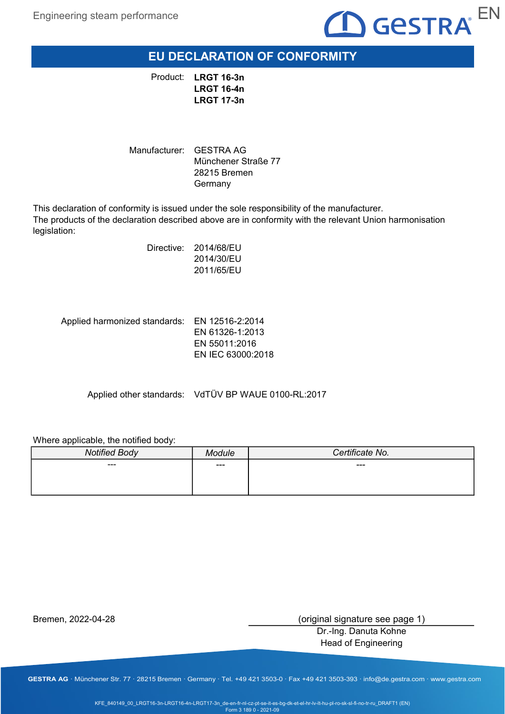

EU DECLARATION OF CONFORMITY

Product: LRGT 16-3n LRGT 16-4n LRGT 17-3n

Manufacturer: GESTRA AG Münchener Straße 77 28215 Bremen Germany

This declaration of conformity is issued under the sole responsibility of the manufacturer. The products of the declaration described above are in conformity with the relevant Union harmonisation legislation:

> Directive: 2014/68/EU 2014/30/EU 2011/65/EU

Applied harmonized standards: EN 12516-2:2014 EN 61326-1:2013 EN 55011:2016 EN IEC 63000:2018

Applied other standards: VdTÜV BP WAUE 0100-RL:2017

Where applicable, the notified body:

| <b>Notified Body</b> | <b>ndule</b> | Certificate No. |
|----------------------|--------------|-----------------|
| ---                  | ---          | $---$           |
|                      |              |                 |
|                      |              |                 |

Bremen, 2022-04-28

(original signature see page 1)

Dr.-Ing. Danuta Kohne Head of Engineering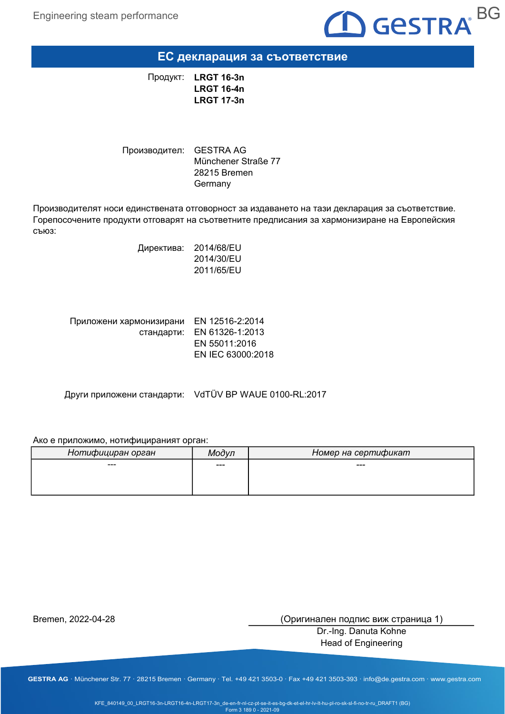

ЕС декларация за съответствие

Продукт: LRGT 16-3n LRGT 16-4n LRGT 17-3n

Производител: GESTRA AG Münchener Straße 77 28215 Bremen Germany

Производителят носи единствената отговорност за издаването на тази декларация за съответствие. Горепосочените продукти отговарят на съответните предписания за хармонизиране на Европейския съюз:

> Директива: 2014/68/EU 2014/30/EU 2011/65/EU

Приложени хармонизирани EN 12516-2:2014 стандарти: EN 61326-1:2013 EN 55011:2016 EN IEC 63000:2018

Други приложени стандарти: VdTÜV BP WAUE 0100-RL:2017

#### Ако е приложимо, нотифицираният орган:

| Нотифициран орган | Модул | Номер на сертификат |
|-------------------|-------|---------------------|
| ---               | ---   | ---                 |
|                   |       |                     |
|                   |       |                     |

Bremen, 2022-04-28

(Оригинален подпис виж страница 1)

Dr.-Ing. Danuta Kohne Head of Engineering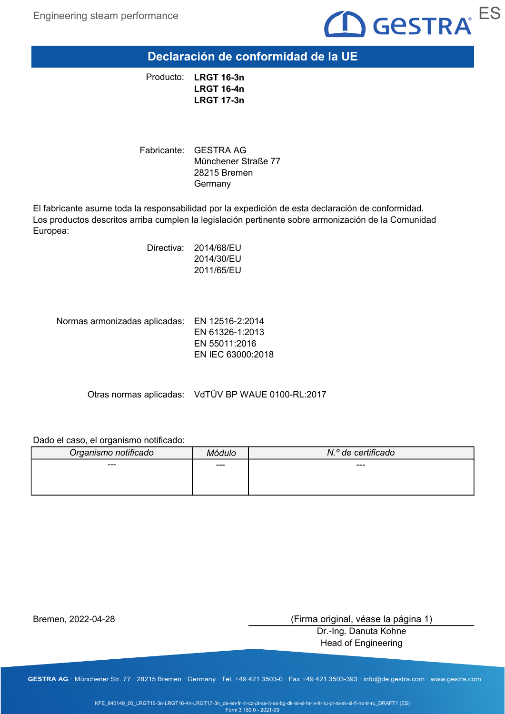

Declaración de conformidad de la UE

Producto: LRGT 16-3n LRGT 16-4n LRGT 17-3n

Fabricante: GESTRA AG Münchener Straße 77 28215 Bremen Germany

El fabricante asume toda la responsabilidad por la expedición de esta declaración de conformidad. Los productos descritos arriba cumplen la legislación pertinente sobre armonización de la Comunidad Europea:

> Directiva: 2014/68/EU 2014/30/EU 2011/65/EU

Normas armonizadas aplicadas: EN 12516-2:2014 EN 61326-1:2013 EN 55011:2016 EN IEC 63000:2018

Otras normas aplicadas: VdTÜV BP WAUE 0100-RL:2017

### Dado el caso, el organismo notificado:

| Organismo notificado | 4ódulo | N.º de certificado |
|----------------------|--------|--------------------|
| ---                  | $--$   | ---                |
|                      |        |                    |
|                      |        |                    |

Bremen, 2022-04-28

(Firma original, véase la página 1)

Dr.-Ing. Danuta Kohne Head of Engineering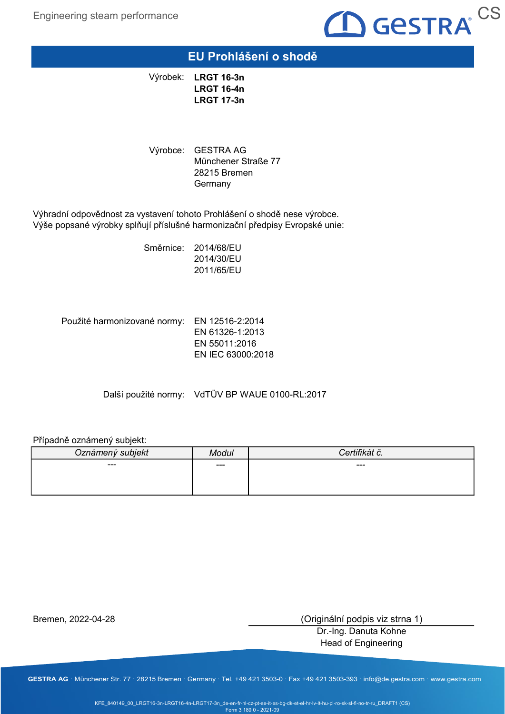

### EU Prohlášení o shodě

Výrobek: LRGT 16-3n LRGT 16-4n LRGT 17-3n

Výrobce: GESTRA AG Münchener Straße 77 28215 Bremen **Germany** 

Výhradní odpovědnost za vystavení tohoto Prohlášení o shodě nese výrobce. Výše popsané výrobky splňují příslušné harmonizační předpisy Evropské unie:

> Směrnice: 2014/68/EU 2014/30/EU 2011/65/EU

Použité harmonizované normy: EN 12516-2:2014 EN 61326-1:2013 EN 55011:2016 EN IEC 63000:2018

Další použité normy: VdTÜV BP WAUE 0100-RL:2017

### Případně oznámený subjekt:

| Oznámený subjekt | Modul | rtifil⁄át ă<br>— ייין הי |
|------------------|-------|--------------------------|
| ---              | ---   | $---$                    |
|                  |       |                          |
|                  |       |                          |

Bremen, 2022-04-28

(Originální podpis viz strna 1)

Dr.-Ing. Danuta Kohne Head of Engineering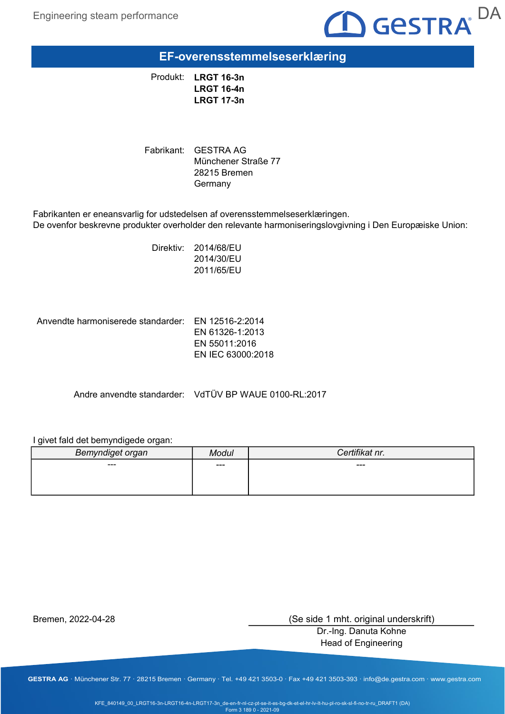

EF-overensstemmelseserklæring

Produkt: LRGT 16-3n LRGT 16-4n LRGT 17-3n

Fabrikant: GESTRA AG Münchener Straße 77 28215 Bremen Germany

Fabrikanten er eneansvarlig for udstedelsen af overensstemmelseserklæringen. De ovenfor beskrevne produkter overholder den relevante harmoniseringslovgivning i Den Europæiske Union:

> Direktiv: 2014/68/EU 2014/30/EU 2011/65/EU

Anvendte harmoniserede standarder: EN 12516-2:2014 EN 61326-1:2013 EN 55011:2016

Andre anvendte standarder: VdTÜV BP WAUE 0100-RL:2017

EN IEC 63000:2018

#### I givet fald det bemyndigede organ:

| Bemyndiget organ |     | Certifikat nr. |
|------------------|-----|----------------|
| ---              | --- | ---            |
|                  |     |                |
|                  |     |                |

Bremen, 2022-04-28

(Se side 1 mht. original underskrift)

Dr.-Ing. Danuta Kohne Head of Engineering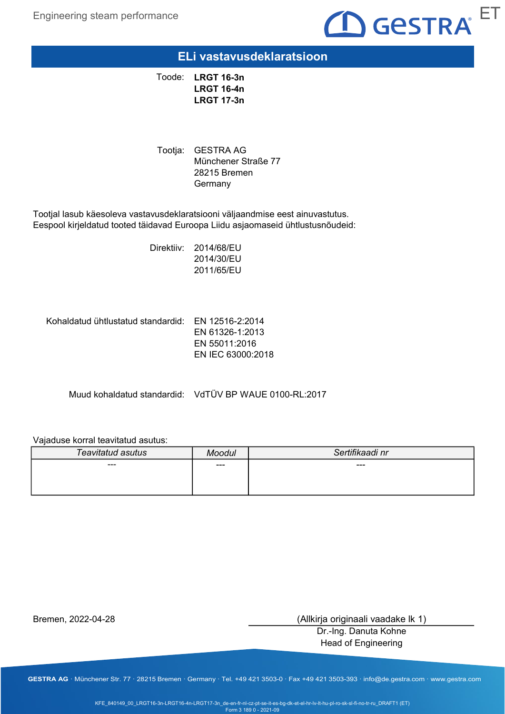

### ELi vastavusdeklaratsioon

Toode: LRGT 16-3n LRGT 16-4n LRGT 17-3n

Tootja: GESTRA AG Münchener Straße 77 28215 Bremen **Germany** 

Tootjal lasub käesoleva vastavusdeklaratsiooni väljaandmise eest ainuvastutus. Eespool kirjeldatud tooted täidavad Euroopa Liidu asjaomaseid ühtlustusnõudeid:

> Direktiiv: 2014/68/EU 2014/30/EU 2011/65/EU

Kohaldatud ühtlustatud standardid: EN 12516-2:2014

EN 61326-1:2013 EN 55011:2016 EN IEC 63000:2018

Muud kohaldatud standardid: VdTÜV BP WAUE 0100-RL:2017

### Vajaduse korral teavitatud asutus:

| Teavitatud asutus | Moodul | Sertifikaadi nr |
|-------------------|--------|-----------------|
| ---               | ---    | ---             |
|                   |        |                 |
|                   |        |                 |

Bremen, 2022-04-28

(Allkirja originaali vaadake lk 1)

Dr.-Ing. Danuta Kohne Head of Engineering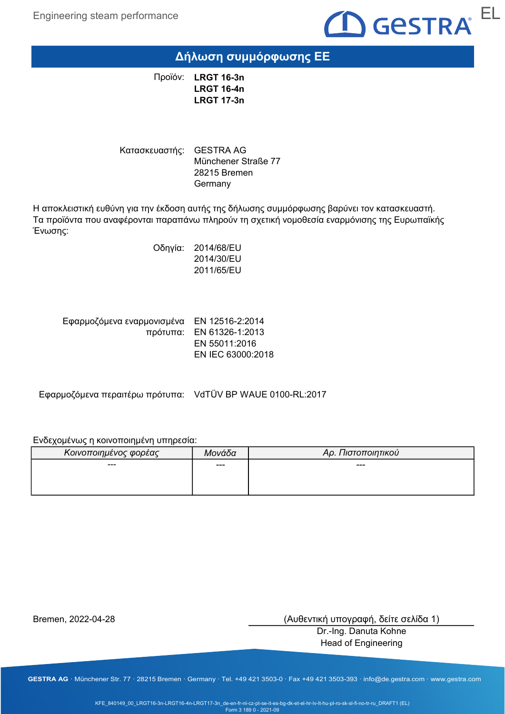

# Δήλωση συμμόρφωσης ΕΕ

Προϊόν: LRGT 16-3n LRGT 16-4n LRGT 17-3n

Κατασκευαστής: GESTRA AG Münchener Straße 77 28215 Bremen Germany

Η αποκλειστική ευθύνη για την έκδοση αυτής της δήλωσης συμμόρφωσης βαρύνει τον κατασκευαστή. Τα προϊόντα που αναφέρονται παραπάνω πληρούν τη σχετική νομοθεσία εναρμόνισης της Ευρωπαϊκής Ένωσης:

> Οδηγία: 2014/68/EU 2014/30/EU 2011/65/EU

Εφαρμοζόμενα εναρμονισμένα EN 12516-2:2014 πρότυπα: EN 61326-1:2013 EN 55011:2016 EN IEC 63000:2018

Εφαρμοζόμενα περαιτέρω πρότυπα: VdTÜV BP WAUE 0100-RL:2017

### Ενδεχομένως η κοινοποιημένη υπηρεσία:

| Κοινοποιημένος φορέας | Μονάδα | Αρ. Πιστοποιητικού |
|-----------------------|--------|--------------------|
| $- - -$               | ---    | ---                |
|                       |        |                    |
|                       |        |                    |

Bremen, 2022-04-28

(Αυθεντική υπογραφή, δείτε σελίδα 1)

Dr.-Ing. Danuta Kohne Head of Engineering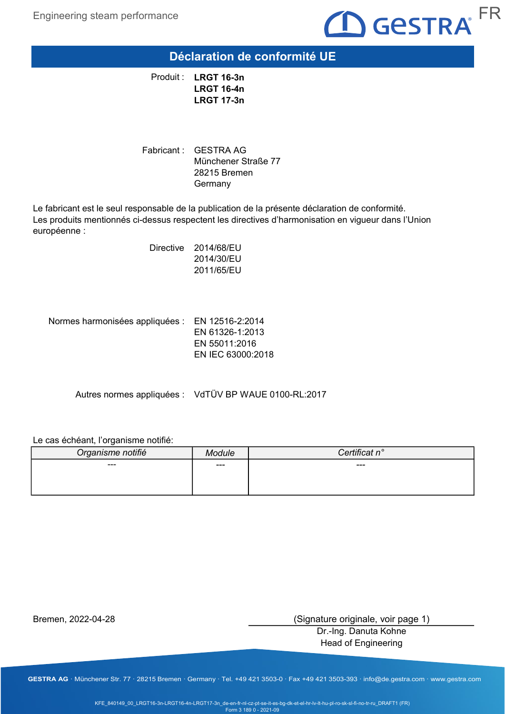

Déclaration de conformité UE

Produit : LRGT 16-3n LRGT 16-4n LRGT 17-3n

Fabricant : GESTRA AG Münchener Straße 77 28215 Bremen **Germany** 

Le fabricant est le seul responsable de la publication de la présente déclaration de conformité. Les produits mentionnés ci-dessus respectent les directives d'harmonisation en vigueur dans l'Union européenne :

> Directive 2014/68/EU 2014/30/EU 2011/65/EU

Normes harmonisées appliquées : EN 12516-2:2014 EN 61326-1:2013 EN 55011:2016 EN IEC 63000:2018

Autres normes appliquées : VdTÜV BP WAUE 0100-RL:2017

### Le cas échéant, l'organisme notifié:

| Organisme notifié | dule | Certificat n° |
|-------------------|------|---------------|
| ---               | ---  | ---           |
|                   |      |               |
|                   |      |               |

Bremen, 2022-04-28

(Signature originale, voir page 1)

Dr.-Ing. Danuta Kohne Head of Engineering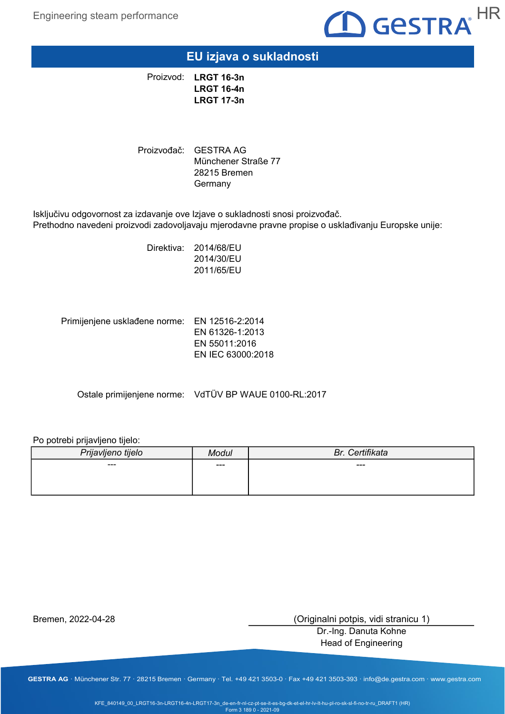

## EU izjava o sukladnosti

Proizvod: LRGT 16-3n LRGT 16-4n LRGT 17-3n

Proizvođač: GESTRA AG Münchener Straße 77 28215 Bremen **Germany** 

Isključivu odgovornost za izdavanje ove Izjave o sukladnosti snosi proizvođač. Prethodno navedeni proizvodi zadovoljavaju mjerodavne pravne propise o usklađivanju Europske unije:

> Direktiva: 2014/68/EU 2014/30/EU 2011/65/EU

Primijenjene usklađene norme: EN 12516-2:2014 EN 61326-1:2013 EN 55011:2016 EN IEC 63000:2018

Ostale primijenjene norme: VdTÜV BP WAUE 0100-RL:2017

### Po potrebi prijavljeno tijelo:

| Prijavljeno tijelo | Modul | Br. Certifikata |
|--------------------|-------|-----------------|
| ---                | ---   | ---             |
|                    |       |                 |
|                    |       |                 |

Bremen, 2022-04-28

(Originalni potpis, vidi stranicu 1)

Dr.-Ing. Danuta Kohne Head of Engineering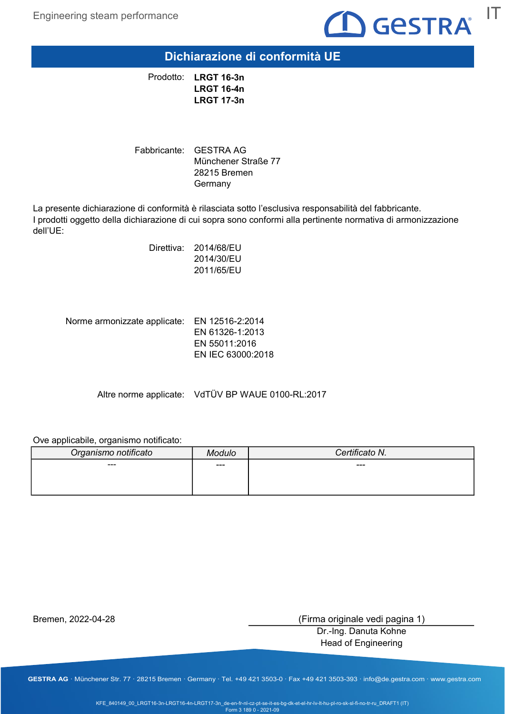

Dichiarazione di conformità UE

Prodotto: LRGT 16-3n LRGT 16-4n LRGT 17-3n

Fabbricante: GESTRA AG Münchener Straße 77 28215 Bremen **Germany** 

La presente dichiarazione di conformità è rilasciata sotto l'esclusiva responsabilità del fabbricante. I prodotti oggetto della dichiarazione di cui sopra sono conformi alla pertinente normativa di armonizzazione dell'UE:

> Direttiva: 2014/68/EU 2014/30/EU 2011/65/EU

Norme armonizzate applicate: EN 12516-2:2014 EN 61326-1:2013 EN 55011:2016 EN IEC 63000:2018

Altre norme applicate: VdTÜV BP WAUE 0100-RL:2017

Ove applicabile, organismo notificato:

| Organismo notificato | 1odulo | Certificato N. |
|----------------------|--------|----------------|
| ---                  | ---    | ---            |
|                      |        |                |
|                      |        |                |

Bremen, 2022-04-28

(Firma originale vedi pagina 1)

Dr.-Ing. Danuta Kohne Head of Engineering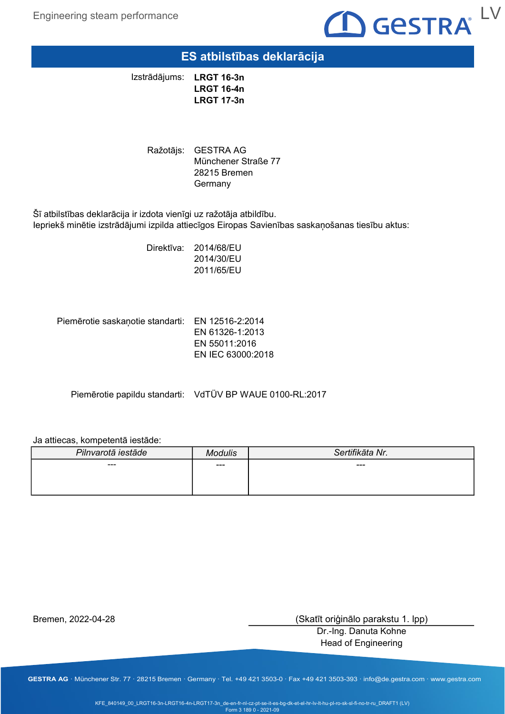Engineering steam performance



# ES atbilstības deklarācija

Izstrādājums: LRGT 16-3n LRGT 16-4n LRGT 17-3n

> Ražotājs: GESTRA AG Münchener Straße 77 28215 Bremen **Germany**

Šī atbilstības deklarācija ir izdota vienīgi uz ražotāja atbildību. Iepriekš minētie izstrādājumi izpilda attiecīgos Eiropas Savienības saskaņošanas tiesību aktus:

> Direktīva: 2014/68/EU 2014/30/EU 2011/65/EU

Piemērotie saskaņotie standarti: EN 12516-2:2014 EN 61326-1:2013 EN 55011:2016 EN IEC 63000:2018

Piemērotie papildu standarti: VdTÜV BP WAUE 0100-RL:2017

#### Ja attiecas, kompetentā iestāde:

| Pilnvarotā iestāde | <b>Modulis</b> | Sertifikāta Nr. |
|--------------------|----------------|-----------------|
| ---                | ---            | ---             |
|                    |                |                 |
|                    |                |                 |

Bremen, 2022-04-28

(Skatīt oriģinālo parakstu 1. lpp)

Dr.-Ing. Danuta Kohne Head of Engineering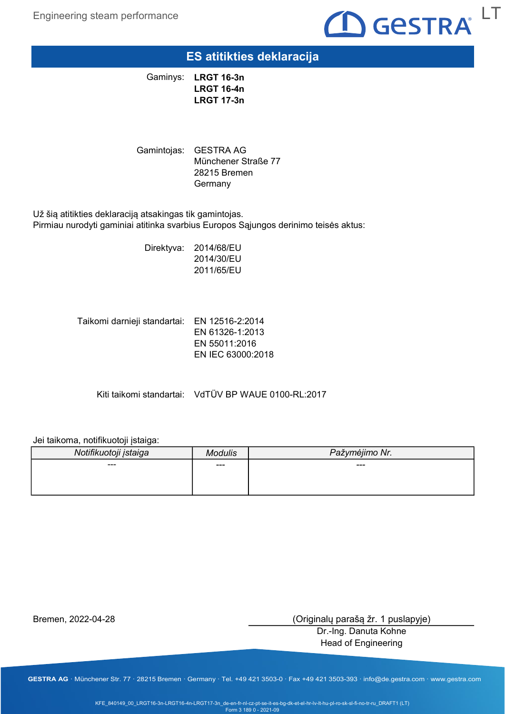

# ES atitikties deklaracija

Gaminys: LRGT 16-3n LRGT 16-4n LRGT 17-3n

Gamintojas: GESTRA AG Münchener Straße 77 28215 Bremen **Germany** 

Už šią atitikties deklaraciją atsakingas tik gamintojas. Pirmiau nurodyti gaminiai atitinka svarbius Europos Sąjungos derinimo teisės aktus:

> Direktyva: 2014/68/EU 2014/30/EU 2011/65/EU

Taikomi darnieji standartai: EN 12516-2:2014 EN 61326-1:2013 EN 55011:2016 EN IEC 63000:2018

Kiti taikomi standartai: VdTÜV BP WAUE 0100-RL:2017

#### Jei taikoma, notifikuotoji įstaiga:

| Notifikuotoji įstaiga | Modulis | Pažymėjimo Nr. |
|-----------------------|---------|----------------|
| ---                   | ---     | ---            |
|                       |         |                |
|                       |         |                |

Bremen, 2022-04-28

(Originalų parašą žr. 1 puslapyje)

Dr.-Ing. Danuta Kohne Head of Engineering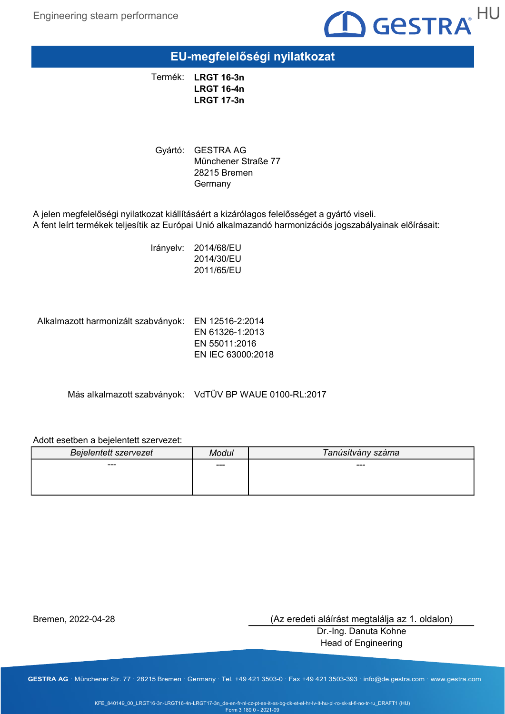

EU-megfelelőségi nyilatkozat

Termék: LRGT 16-3n LRGT 16-4n LRGT 17-3n

Gyártó: GESTRA AG Münchener Straße 77 28215 Bremen **Germany** 

A jelen megfelelőségi nyilatkozat kiállításáért a kizárólagos felelősséget a gyártó viseli. A fent leírt termékek teljesítik az Európai Unió alkalmazandó harmonizációs jogszabályainak előírásait:

> Irányelv: 2014/68/EU 2014/30/EU 2011/65/EU

Alkalmazott harmonizált szabványok: EN 12516-2:2014 EN 61326-1:2013 EN 55011:2016 EN IEC 63000:2018

Más alkalmazott szabványok: VdTÜV BP WAUE 0100-RL:2017

### Adott esetben a bejelentett szervezet:

| <b>Bejelentett szervezet</b> | Modul | Tanúsítvány száma |
|------------------------------|-------|-------------------|
| ---                          | ---   | ---               |
|                              |       |                   |
|                              |       |                   |

Bremen, 2022-04-28

(Az eredeti aláírást megtalálja az 1. oldalon)

Dr.-Ing. Danuta Kohne Head of Engineering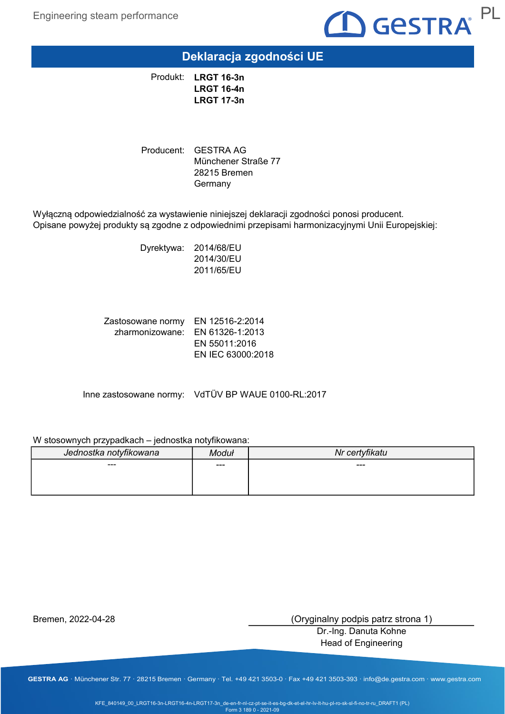

# Deklaracja zgodności UE

Produkt: LRGT 16-3n LRGT 16-4n LRGT 17-3n

Producent: GESTRA AG Münchener Straße 77 28215 Bremen Germany

Wyłączną odpowiedzialność za wystawienie niniejszej deklaracji zgodności ponosi producent. Opisane powyżej produkty są zgodne z odpowiednimi przepisami harmonizacyjnymi Unii Europejskiej:

> Dyrektywa: 2014/68/EU 2014/30/EU 2011/65/EU

Zastosowane normy EN 12516-2:2014 zharmonizowane: EN 61326-1:2013 EN 55011:2016 EN IEC 63000:2018

Inne zastosowane normy: VdTÜV BP WAUE 0100-RL:2017

#### W stosownych przypadkach – jednostka notyfikowana:

| Jednostka notyfikowana | <b>Moduł</b> | Nr certyfikatu |
|------------------------|--------------|----------------|
| $---$                  | $--$         | ---            |
|                        |              |                |
|                        |              |                |

Bremen, 2022-04-28

(Oryginalny podpis patrz strona 1)

Dr.-Ing. Danuta Kohne Head of Engineering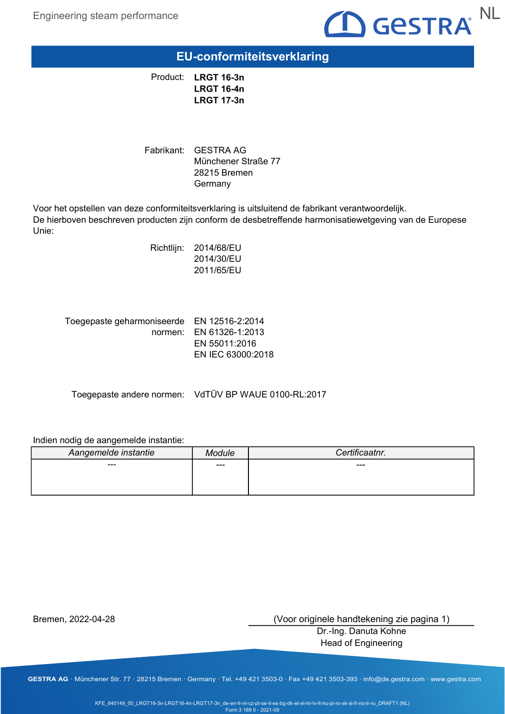

# EU-conformiteitsverklaring

Product: LRGT 16-3n LRGT 16-4n LRGT 17-3n

Fabrikant: GESTRA AG Münchener Straße 77 28215 Bremen Germany

Voor het opstellen van deze conformiteitsverklaring is uitsluitend de fabrikant verantwoordelijk. De hierboven beschreven producten zijn conform de desbetreffende harmonisatiewetgeving van de Europese Unie:

> Richtlijn: 2014/68/EU 2014/30/EU 2011/65/EU

| Toegepaste geharmoniseerde EN 12516-2:2014 |                         |
|--------------------------------------------|-------------------------|
|                                            | normen: EN 61326-1:2013 |
|                                            | EN 55011:2016           |
|                                            | EN IEC 63000:2018       |

Toegepaste andere normen: VdTÜV BP WAUE 0100-RL:2017

### Indien nodig de aangemelde instantie:

| Aangemelde instantie | odule | Certificaatnr. |
|----------------------|-------|----------------|
| $- - -$              | ---   | ---            |
|                      |       |                |
|                      |       |                |

Bremen, 2022-04-28

(Voor originele handtekening zie pagina 1)

Dr.-Ing. Danuta Kohne Head of Engineering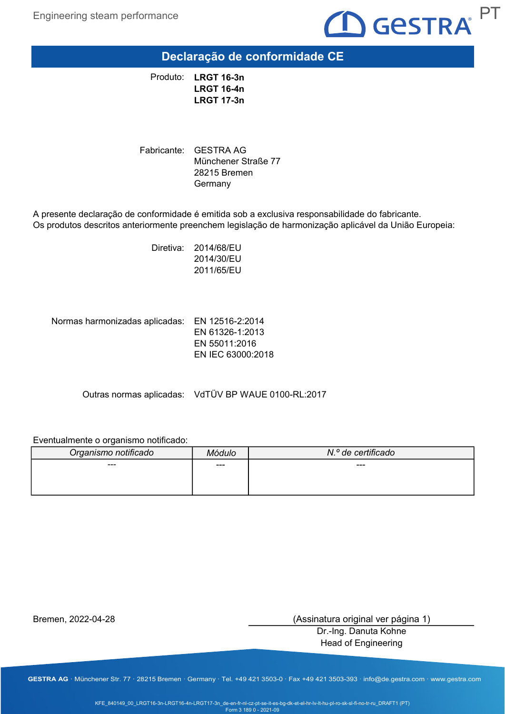

Declaração de conformidade CE

Produto: LRGT 16-3n LRGT 16-4n LRGT 17-3n

Fabricante: GESTRA AG Münchener Straße 77 28215 Bremen **Germany** 

A presente declaração de conformidade é emitida sob a exclusiva responsabilidade do fabricante. Os produtos descritos anteriormente preenchem legislação de harmonização aplicável da União Europeia:

> Diretiva: 2014/68/EU 2014/30/EU 2011/65/EU

Normas harmonizadas aplicadas: EN 12516-2:2014 EN 61326-1:2013 EN 55011:2016

Outras normas aplicadas: VdTÜV BP WAUE 0100-RL:2017

EN IEC 63000:2018

#### Eventualmente o organismo notificado:

| Organismo notificado |      | N.º de certificado |
|----------------------|------|--------------------|
| ---                  | $--$ | ---                |
|                      |      |                    |
|                      |      |                    |

Bremen, 2022-04-28

(Assinatura original ver página 1)

Dr.-Ing. Danuta Kohne Head of Engineering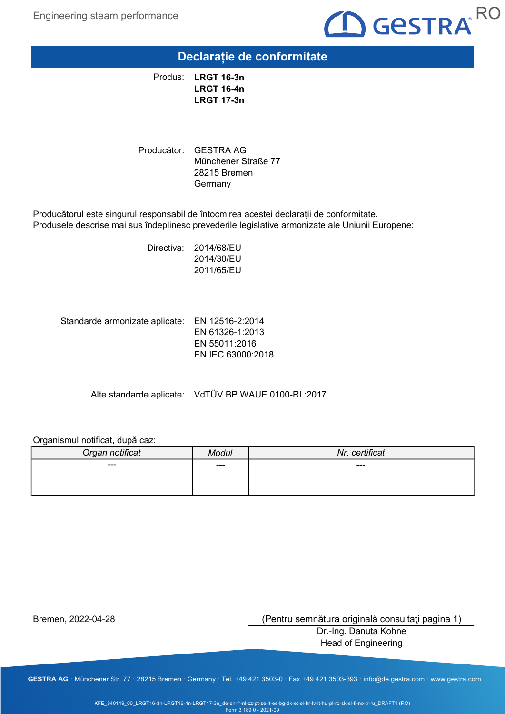

# Declarație de conformitate

Produs: LRGT 16-3n LRGT 16-4n LRGT 17-3n

Producător: GESTRA AG Münchener Straße 77 28215 Bremen **Germany** 

Producătorul este singurul responsabil de întocmirea acestei declarații de conformitate. Produsele descrise mai sus îndeplinesc prevederile legislative armonizate ale Uniunii Europene:

> Directiva: 2014/68/EU 2014/30/EU 2011/65/EU

Standarde armonizate aplicate: EN 12516-2:2014 EN 61326-1:2013 EN 55011:2016 EN IEC 63000:2018

Alte standarde aplicate: VdTÜV BP WAUE 0100-RL:2017

### Organismul notificat, după caz:

| Organ notificat | Modul | Nr. certificat |
|-----------------|-------|----------------|
| ---             | ---   | $---$          |
|                 |       |                |
|                 |       |                |

Bremen, 2022-04-28

(Pentru semnătura originală consultaţi pagina 1)

Dr.-Ing. Danuta Kohne Head of Engineering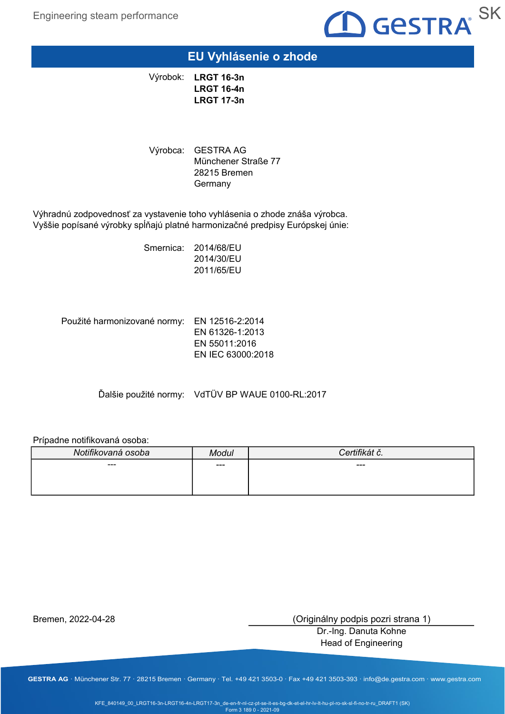

### EU Vyhlásenie o zhode

Výrobok: LRGT 16-3n LRGT 16-4n LRGT 17-3n

Výrobca: GESTRA AG Münchener Straße 77 28215 Bremen **Germany** 

Výhradnú zodpovednosť za vystavenie toho vyhlásenia o zhode znáša výrobca. Vyššie popísané výrobky spĺňajú platné harmonizačné predpisy Európskej únie:

> Smernica: 2014/68/EU 2014/30/EU 2011/65/EU

Použité harmonizované normy: EN 12516-2:2014 EN 61326-1:2013 EN 55011:2016 EN IEC 63000:2018

Ďalšie použité normy: VdTÜV BP WAUE 0100-RL:2017

### Prípadne notifikovaná osoba:

| Modul | Certifikát č. |
|-------|---------------|
| ---   | ---           |
|       |               |
|       |               |

Bremen, 2022-04-28

(Originálny podpis pozri strana 1)

Dr.-Ing. Danuta Kohne Head of Engineering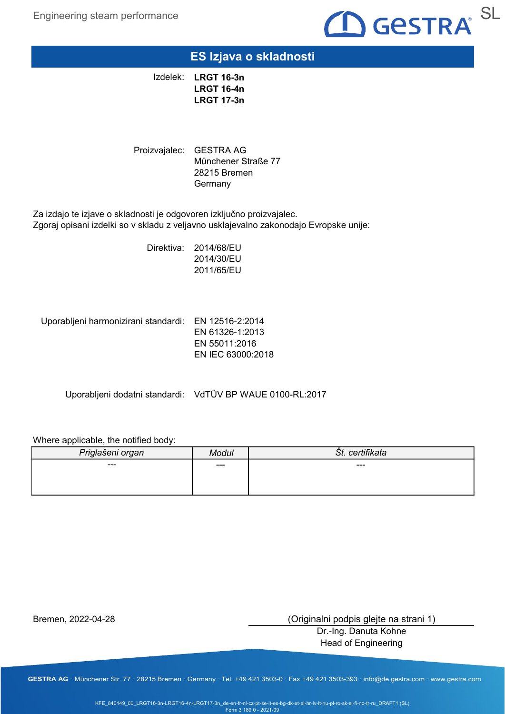

# ES Izjava o skladnosti

Izdelek: LRGT 16-3n LRGT 16-4n LRGT 17-3n

Proizvajalec: GESTRA AG Münchener Straße 77 28215 Bremen **Germany** 

Za izdajo te izjave o skladnosti je odgovoren izključno proizvajalec. Zgoraj opisani izdelki so v skladu z veljavno usklajevalno zakonodajo Evropske unije:

> Direktiva: 2014/68/EU 2014/30/EU 2011/65/EU

Uporabljeni harmonizirani standardi: EN 12516-2:2014

EN 61326-1:2013 EN 55011:2016 EN IEC 63000:2018

Uporabljeni dodatni standardi: VdTÜV BP WAUE 0100-RL:2017

### Where applicable, the notified body:

| Priglašeni organ | odul  | rtifikata<br>cer<br>St. |
|------------------|-------|-------------------------|
| $--$             | $---$ | ---                     |
|                  |       |                         |
|                  |       |                         |

Bremen, 2022-04-28

(Originalni podpis glejte na strani 1)

Dr.-Ing. Danuta Kohne Head of Engineering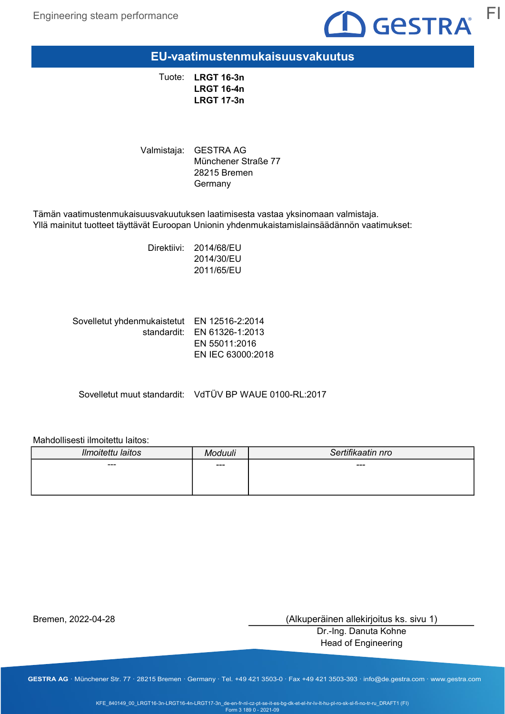

EU-vaatimustenmukaisuusvakuutus

Tuote: LRGT 16-3n LRGT 16-4n LRGT 17-3n

Valmistaja: GESTRA AG Münchener Straße 77 28215 Bremen **Germany** 

Tämän vaatimustenmukaisuusvakuutuksen laatimisesta vastaa yksinomaan valmistaja. Yllä mainitut tuotteet täyttävät Euroopan Unionin yhdenmukaistamislainsäädännön vaatimukset:

> Direktiivi: 2014/68/EU 2014/30/EU 2011/65/EU

Sovelletut yhdenmukaistetut EN 12516-2:2014 standardit: EN 61326-1:2013 EN 55011:2016 EN IEC 63000:2018

Sovelletut muut standardit: VdTÜV BP WAUE 0100-RL:2017

#### Mahdollisesti ilmoitettu laitos:

| Ilmoitettu laitos | bduuli | Sertifikaatin nro |
|-------------------|--------|-------------------|
| ---               | ---    | ---               |
|                   |        |                   |
|                   |        |                   |

Bremen, 2022-04-28

(Alkuperäinen allekirjoitus ks. sivu 1)

Dr.-Ing. Danuta Kohne Head of Engineering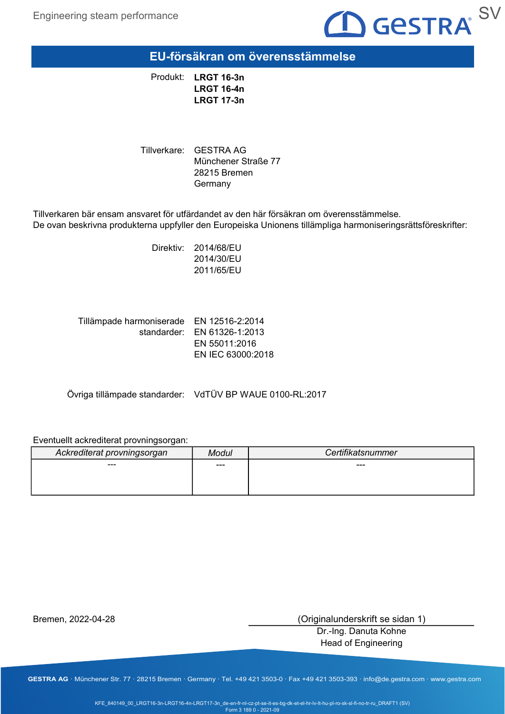

EU-försäkran om överensstämmelse

Produkt: LRGT 16-3n LRGT 16-4n LRGT 17-3n

Tillverkare: GESTRA AG Münchener Straße 77 28215 Bremen Germany

Tillverkaren bär ensam ansvaret för utfärdandet av den här försäkran om överensstämmelse. De ovan beskrivna produkterna uppfyller den Europeiska Unionens tillämpliga harmoniseringsrättsföreskrifter:

> Direktiv: 2014/68/EU 2014/30/EU 2011/65/EU

Tillämpade harmoniserade EN 12516-2:2014 standarder: EN 61326-1:2013 EN 55011:2016 EN IEC 63000:2018

Övriga tillämpade standarder: VdTÜV BP WAUE 0100-RL:2017

### Eventuellt ackrediterat provningsorgan:

| Ackrediterat provningsorgan | Aodul | Certifikatsnummer |
|-----------------------------|-------|-------------------|
| $---$                       | ---   | ---               |
|                             |       |                   |
|                             |       |                   |

Bremen, 2022-04-28

(Originalunderskrift se sidan 1)

Dr.-Ing. Danuta Kohne Head of Engineering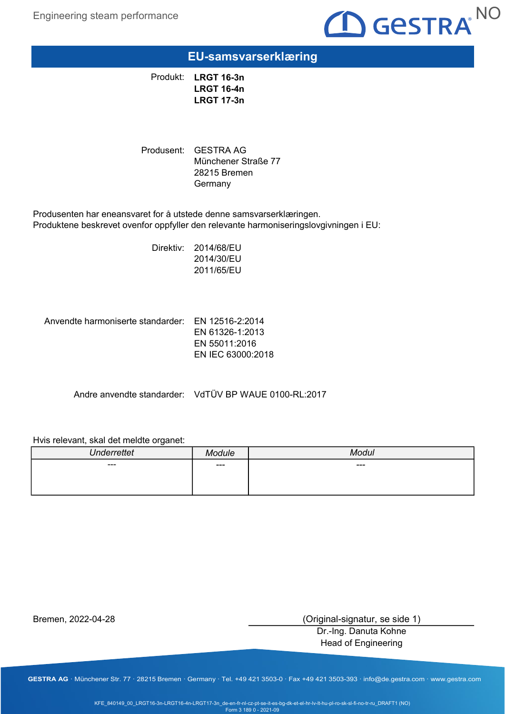

# EU-samsvarserklæring

Produkt: LRGT 16-3n LRGT 16-4n LRGT 17-3n

Produsent: GESTRA AG Münchener Straße 77 28215 Bremen **Germany** 

Produsenten har eneansvaret for å utstede denne samsvarserklæringen. Produktene beskrevet ovenfor oppfyller den relevante harmoniseringslovgivningen i EU:

> Direktiv: 2014/68/EU 2014/30/EU 2011/65/EU

Anvendte harmoniserte standarder: EN 12516-2:2014 EN 61326-1:2013 EN 55011:2016 EN IEC 63000:2018

Andre anvendte standarder: VdTÜV BP WAUE 0100-RL:2017

#### Hvis relevant, skal det meldte organet:

| $\overline{1}$<br>errettet |       | انظم<br>10 <sub>2</sub> |
|----------------------------|-------|-------------------------|
| $---$                      | $---$ | $--$                    |
|                            |       |                         |
|                            |       |                         |

Bremen, 2022-04-28

(Original-signatur, se side 1)

Dr.-Ing. Danuta Kohne Head of Engineering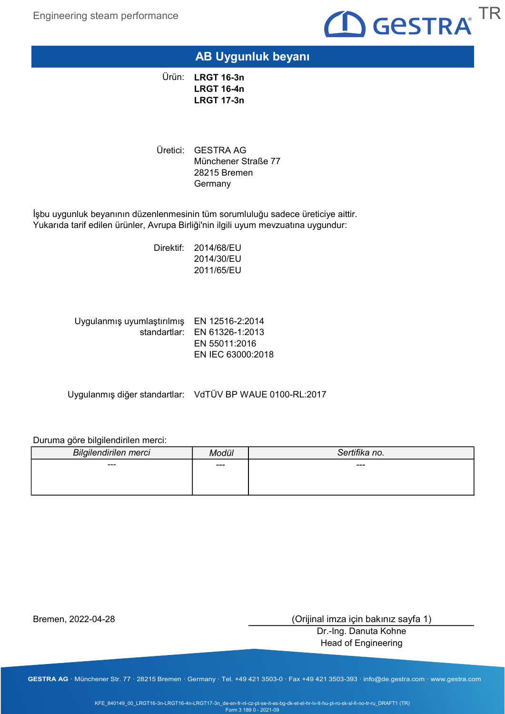

### AB Uygunluk beyanı

Ürün: LRGT 16-3n LRGT 16-4n LRGT 17-3n

Üretici: GESTRA AG Münchener Straße 77 28215 Bremen **Germany** 

İşbu uygunluk beyanının düzenlenmesinin tüm sorumluluğu sadece üreticiye aittir. Yukarıda tarif edilen ürünler, Avrupa Birliği'nin ilgili uyum mevzuatına uygundur:

> Direktif: 2014/68/EU 2014/30/EU 2011/65/EU

Uygulanmış uyumlaştırılmış EN 12516-2:2014 standartlar: EN 61326-1:2013 EN 55011:2016 EN IEC 63000:2018

Uygulanmış diğer standartlar: VdTÜV BP WAUE 0100-RL:2017

### Duruma göre bilgilendirilen merci:

| <b>Bilgilendirilen merci</b> | Modül | Sertifika no. |
|------------------------------|-------|---------------|
| $---$                        | ---   | $---$         |
|                              |       |               |
|                              |       |               |

Bremen, 2022-04-28

(Orijinal imza için bakınız sayfa 1)

Dr.-Ing. Danuta Kohne Head of Engineering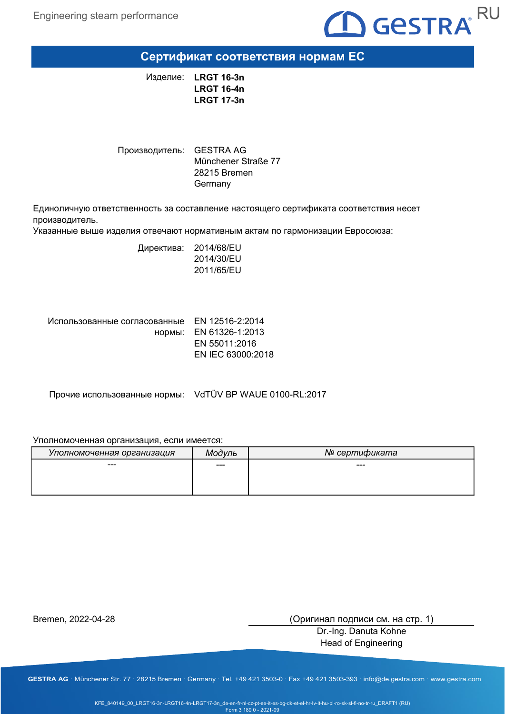

Сертификат соответствия нормам ЕС

Изделие: LRGT 16-3n LRGT 16-4n LRGT 17-3n

Производитель: GESTRA AG Münchener Straße 77 28215 Bremen Germany

Единоличную ответственность за составление настоящего сертификата соответствия несет производитель.

Указанные выше изделия отвечают нормативным актам по гармонизации Евросоюза:

Директива: 2014/68/EU 2014/30/EU 2011/65/EU

Использованные согласованные EN 12516-2:2014 нормы: EN 61326-1:2013 EN 55011:2016 EN IEC 63000:2018

Прочие использованные нормы: VdTÜV BP WAUE 0100-RL:2017

#### Уполномоченная организация, если имеется:

| Уполномоченная организация | Модvль | № сертификата |
|----------------------------|--------|---------------|
| ---                        | $--$   | ---           |
|                            |        |               |
|                            |        |               |

Bremen, 2022-04-28

(Оригинал подписи см. на стр. 1)

Dr.-Ing. Danuta Kohne Head of Engineering